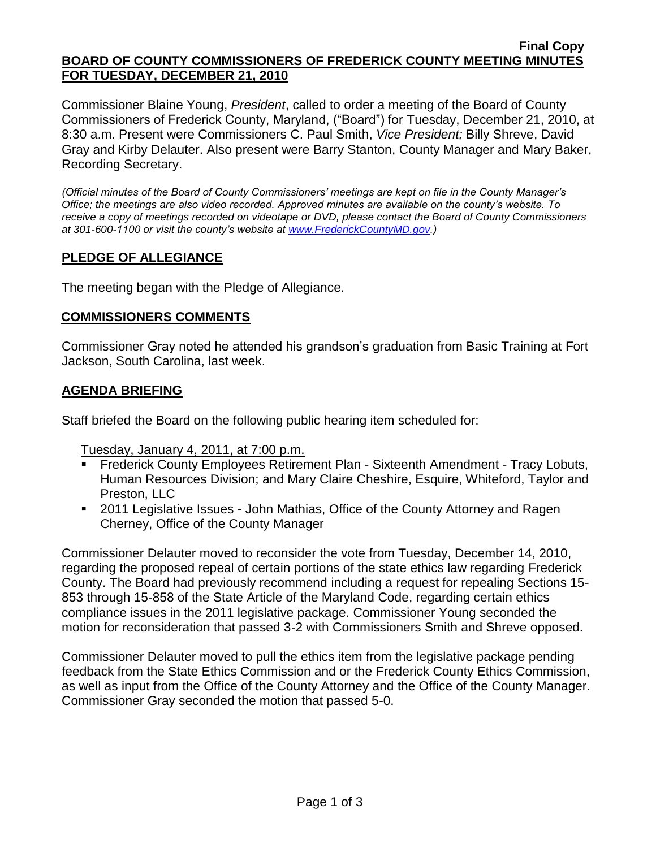#### **Final Copy BOARD OF COUNTY COMMISSIONERS OF FREDERICK COUNTY MEETING MINUTES FOR TUESDAY, DECEMBER 21, 2010**

Commissioner Blaine Young, *President*, called to order a meeting of the Board of County Commissioners of Frederick County, Maryland, ("Board") for Tuesday, December 21, 2010, at 8:30 a.m. Present were Commissioners C. Paul Smith, *Vice President;* Billy Shreve, David Gray and Kirby Delauter. Also present were Barry Stanton, County Manager and Mary Baker, Recording Secretary.

*(Official minutes of the Board of County Commissioners' meetings are kept on file in the County Manager's Office; the meetings are also video recorded. Approved minutes are available on the county's website. To receive a copy of meetings recorded on videotape or DVD, please contact the Board of County Commissioners at 301-600-1100 or visit the county's website at [www.FrederickCountyMD.gov.](http://www.frederickcountymd.gov/))*

# **PLEDGE OF ALLEGIANCE**

The meeting began with the Pledge of Allegiance.

### **COMMISSIONERS COMMENTS**

Commissioner Gray noted he attended his grandson's graduation from Basic Training at Fort Jackson, South Carolina, last week.

### **AGENDA BRIEFING**

Staff briefed the Board on the following public hearing item scheduled for:

Tuesday, January 4, 2011, at 7:00 p.m.

- Frederick County Employees Retirement Plan Sixteenth Amendment Tracy Lobuts, Human Resources Division; and Mary Claire Cheshire, Esquire, Whiteford, Taylor and Preston, LLC
- 2011 Legislative Issues John Mathias, Office of the County Attorney and Ragen Cherney, Office of the County Manager

Commissioner Delauter moved to reconsider the vote from Tuesday, December 14, 2010, regarding the proposed repeal of certain portions of the state ethics law regarding Frederick County. The Board had previously recommend including a request for repealing Sections 15- 853 through 15-858 of the State Article of the Maryland Code, regarding certain ethics compliance issues in the 2011 legislative package. Commissioner Young seconded the motion for reconsideration that passed 3-2 with Commissioners Smith and Shreve opposed.

Commissioner Delauter moved to pull the ethics item from the legislative package pending feedback from the State Ethics Commission and or the Frederick County Ethics Commission, as well as input from the Office of the County Attorney and the Office of the County Manager. Commissioner Gray seconded the motion that passed 5-0.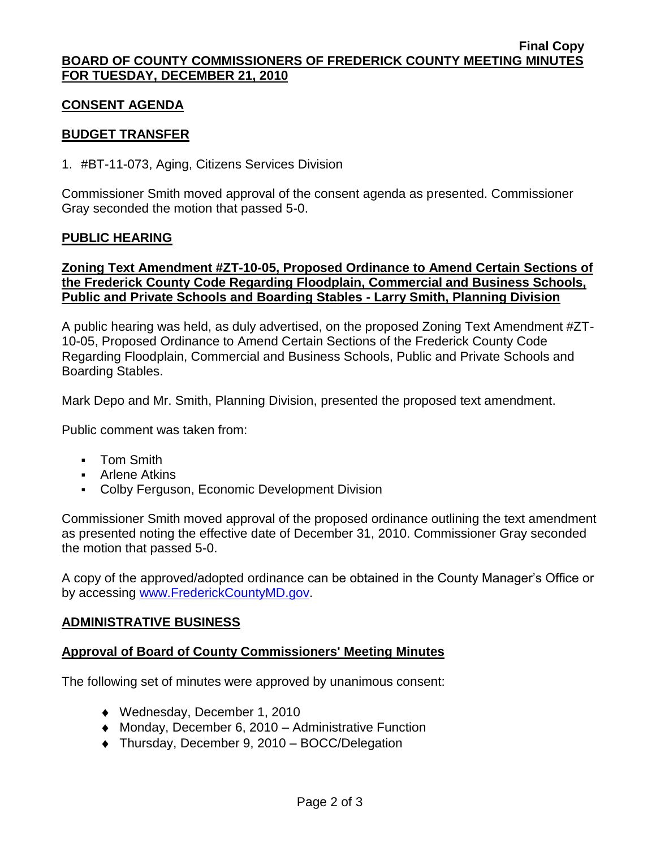## **CONSENT AGENDA**

## **BUDGET TRANSFER**

1. #BT-11-073, Aging, Citizens Services Division

Commissioner Smith moved approval of the consent agenda as presented. Commissioner Gray seconded the motion that passed 5-0.

### **PUBLIC HEARING**

## **Zoning Text Amendment #ZT-10-05, Proposed Ordinance to Amend Certain Sections of the Frederick County Code Regarding Floodplain, Commercial and Business Schools, Public and Private Schools and Boarding Stables - Larry Smith, Planning Division**

A public hearing was held, as duly advertised, on the proposed Zoning Text Amendment #ZT-10-05, Proposed Ordinance to Amend Certain Sections of the Frederick County Code Regarding Floodplain, Commercial and Business Schools, Public and Private Schools and Boarding Stables.

Mark Depo and Mr. Smith, Planning Division, presented the proposed text amendment.

Public comment was taken from:

- **Tom Smith**
- **Arlene Atkins**
- Colby Ferguson, Economic Development Division

Commissioner Smith moved approval of the proposed ordinance outlining the text amendment as presented noting the effective date of December 31, 2010. Commissioner Gray seconded the motion that passed 5-0.

A copy of the approved/adopted ordinance can be obtained in the County Manager's Office or by accessing [www.FrederickCountyMD.gov.](file://NT1S5/BOCC/BOCC/BOCC%20Minutes/Mary)

### **ADMINISTRATIVE BUSINESS**

## **Approval of Board of County Commissioners' Meeting Minutes**

The following set of minutes were approved by unanimous consent:

- Wednesday, December 1, 2010
- Monday, December 6, 2010 Administrative Function
- ◆ Thursday, December 9, 2010 BOCC/Delegation